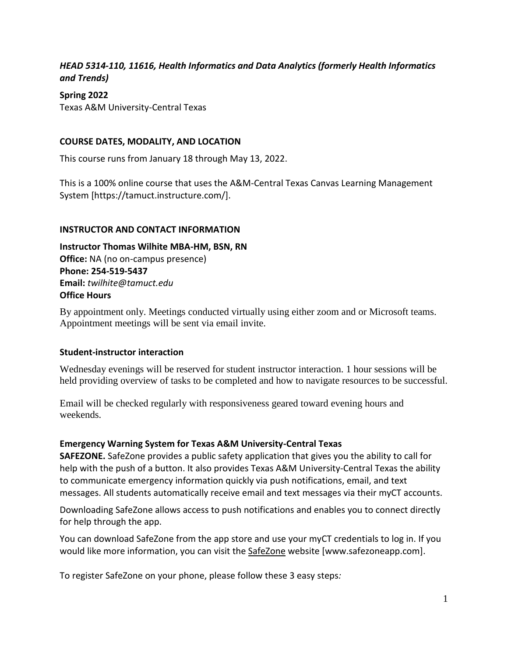## *HEAD 5314-110, 11616, Health Informatics and Data Analytics (formerly Health Informatics and Trends)*

### **Spring 2022**

Texas A&M University-Central Texas

### **COURSE DATES, MODALITY, AND LOCATION**

This course runs from January 18 through May 13, 2022.

This is a 100% online course that uses the A&M-Central Texas Canvas Learning Management System [https://tamuct.instructure.com/].

#### **INSTRUCTOR AND CONTACT INFORMATION**

**Instructor Thomas Wilhite MBA-HM, BSN, RN Office:** NA (no on-campus presence) **Phone: 254-519-5437 Email:** *twilhite@tamuct.edu* **Office Hours**

By appointment only. Meetings conducted virtually using either zoom and or Microsoft teams. Appointment meetings will be sent via email invite.

#### **Student-instructor interaction**

Wednesday evenings will be reserved for student instructor interaction. 1 hour sessions will be held providing overview of tasks to be completed and how to navigate resources to be successful.

Email will be checked regularly with responsiveness geared toward evening hours and weekends.

#### **Emergency Warning System for Texas A&M University-Central Texas**

**SAFEZONE.** SafeZone provides a public safety application that gives you the ability to call for help with the push of a button. It also provides Texas A&M University-Central Texas the ability to communicate emergency information quickly via push notifications, email, and text messages. All students automatically receive email and text messages via their myCT accounts.

Downloading SafeZone allows access to push notifications and enables you to connect directly for help through the app.

You can download SafeZone from the app store and use your myCT credentials to log in. If you would like more information, you can visit the [SafeZone](http://www.safezoneapp.com/) website [www.safezoneapp.com].

To register SafeZone on your phone, please follow these 3 easy steps*:*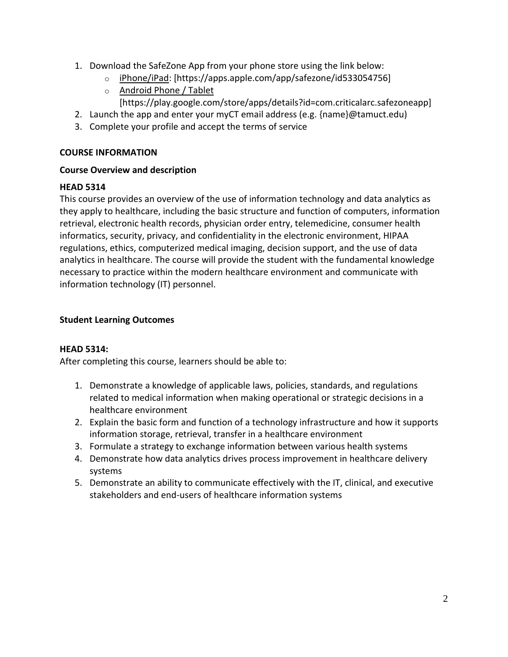- 1. Download the SafeZone App from your phone store using the link below:
	- o [iPhone/iPad:](https://apps.apple.com/app/safezone/id533054756) [https://apps.apple.com/app/safezone/id533054756]
	- o [Android Phone / Tablet](https://play.google.com/store/apps/details?id=com.criticalarc.safezoneapp) [https://play.google.com/store/apps/details?id=com.criticalarc.safezoneapp]
- 2. Launch the app and enter your myCT email address (e.g. {name}@tamuct.edu)
- 3. Complete your profile and accept the terms of service

### **COURSE INFORMATION**

### **Course Overview and description**

### **HEAD 5314**

This course provides an overview of the use of information technology and data analytics as they apply to healthcare, including the basic structure and function of computers, information retrieval, electronic health records, physician order entry, telemedicine, consumer health informatics, security, privacy, and confidentiality in the electronic environment, HIPAA regulations, ethics, computerized medical imaging, decision support, and the use of data analytics in healthcare. The course will provide the student with the fundamental knowledge necessary to practice within the modern healthcare environment and communicate with information technology (IT) personnel.

### **Student Learning Outcomes**

#### **HEAD 5314:**

After completing this course, learners should be able to:

- 1. Demonstrate a knowledge of applicable laws, policies, standards, and regulations related to medical information when making operational or strategic decisions in a healthcare environment
- 2. Explain the basic form and function of a technology infrastructure and how it supports information storage, retrieval, transfer in a healthcare environment
- 3. Formulate a strategy to exchange information between various health systems
- 4. Demonstrate how data analytics drives process improvement in healthcare delivery systems
- 5. Demonstrate an ability to communicate effectively with the IT, clinical, and executive stakeholders and end-users of healthcare information systems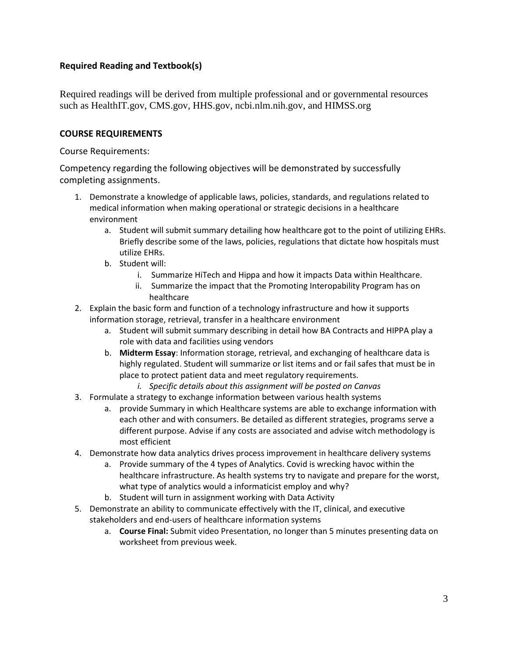## **Required Reading and Textbook(s)**

Required readings will be derived from multiple professional and or governmental resources such as HealthIT.gov, CMS.gov, HHS.gov, ncbi.nlm.nih.gov, and HIMSS.org

### **COURSE REQUIREMENTS**

Course Requirements:

Competency regarding the following objectives will be demonstrated by successfully completing assignments.

- 1. Demonstrate a knowledge of applicable laws, policies, standards, and regulations related to medical information when making operational or strategic decisions in a healthcare environment
	- a. Student will submit summary detailing how healthcare got to the point of utilizing EHRs. Briefly describe some of the laws, policies, regulations that dictate how hospitals must utilize EHRs.
	- b. Student will:
		- i. Summarize HiTech and Hippa and how it impacts Data within Healthcare.
		- ii. Summarize the impact that the Promoting Interopability Program has on healthcare
- 2. Explain the basic form and function of a technology infrastructure and how it supports information storage, retrieval, transfer in a healthcare environment
	- a. Student will submit summary describing in detail how BA Contracts and HIPPA play a role with data and facilities using vendors
	- b. **Midterm Essay**: Information storage, retrieval, and exchanging of healthcare data is highly regulated. Student will summarize or list items and or fail safes that must be in place to protect patient data and meet regulatory requirements.
		- *i. Specific details about this assignment will be posted on Canvas*
- 3. Formulate a strategy to exchange information between various health systems
	- a. provide Summary in which Healthcare systems are able to exchange information with each other and with consumers. Be detailed as different strategies, programs serve a different purpose. Advise if any costs are associated and advise witch methodology is most efficient
- 4. Demonstrate how data analytics drives process improvement in healthcare delivery systems
	- a. Provide summary of the 4 types of Analytics. Covid is wrecking havoc within the healthcare infrastructure. As health systems try to navigate and prepare for the worst, what type of analytics would a informaticist employ and why?
	- b. Student will turn in assignment working with Data Activity
- 5. Demonstrate an ability to communicate effectively with the IT, clinical, and executive stakeholders and end-users of healthcare information systems
	- a. **Course Final:** Submit video Presentation, no longer than 5 minutes presenting data on worksheet from previous week.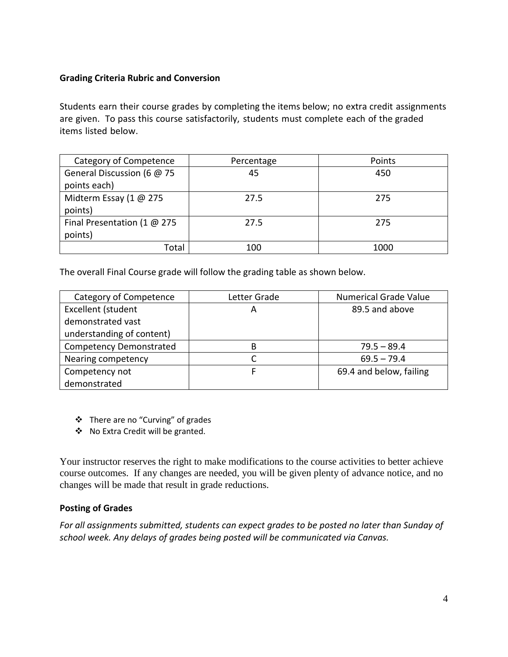### **Grading Criteria Rubric and Conversion**

Students earn their course grades by completing the items below; no extra credit assignments are given. To pass this course satisfactorily, students must complete each of the graded items listed below.

| Category of Competence        | Percentage | Points |
|-------------------------------|------------|--------|
| General Discussion (6 @ 75    | 45         | 450    |
| points each)                  |            |        |
| Midterm Essay (1 @ 275        | 27.5       | 275    |
| points)                       |            |        |
| Final Presentation (1 $@$ 275 | 27.5       | 275    |
| points)                       |            |        |
| Total                         | 100        | 1000   |

The overall Final Course grade will follow the grading table as shown below.

| Category of Competence         | Letter Grade | <b>Numerical Grade Value</b> |
|--------------------------------|--------------|------------------------------|
| Excellent (student             | А            | 89.5 and above               |
| demonstrated vast              |              |                              |
| understanding of content)      |              |                              |
| <b>Competency Demonstrated</b> | R            | $79.5 - 89.4$                |
| Nearing competency             |              | $69.5 - 79.4$                |
| Competency not                 |              | 69.4 and below, failing      |
| demonstrated                   |              |                              |

- There are no "Curving" of grades
- ◆ No Extra Credit will be granted.

Your instructor reserves the right to make modifications to the course activities to better achieve course outcomes. If any changes are needed, you will be given plenty of advance notice, and no changes will be made that result in grade reductions.

## **Posting of Grades**

*For all assignments submitted, students can expect grades to be posted no later than Sunday of school week. Any delays of grades being posted will be communicated via Canvas.*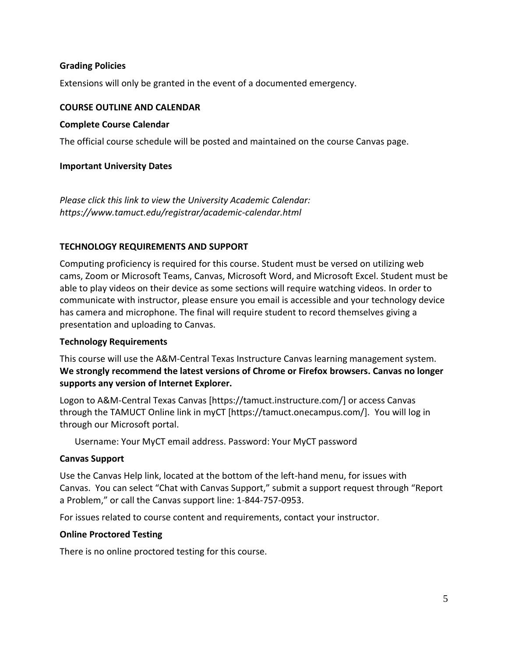### **Grading Policies**

Extensions will only be granted in the event of a documented emergency.

#### **COURSE OUTLINE AND CALENDAR**

#### **Complete Course Calendar**

The official course schedule will be posted and maintained on the course Canvas page.

#### **Important University Dates**

*Please click this link to view the University Academic Calendar: https://www.tamuct.edu/registrar/academic-calendar.html*

#### **TECHNOLOGY REQUIREMENTS AND SUPPORT**

Computing proficiency is required for this course. Student must be versed on utilizing web cams, Zoom or Microsoft Teams, Canvas, Microsoft Word, and Microsoft Excel. Student must be able to play videos on their device as some sections will require watching videos. In order to communicate with instructor, please ensure you email is accessible and your technology device has camera and microphone. The final will require student to record themselves giving a presentation and uploading to Canvas.

#### **Technology Requirements**

This course will use the A&M-Central Texas Instructure Canvas learning management system. **We strongly recommend the latest versions of Chrome or Firefox browsers. Canvas no longer supports any version of Internet Explorer.**

Logon to A&M-Central Texas Canvas [https://tamuct.instructure.com/] or access Canvas through the TAMUCT Online link in myCT [https://tamuct.onecampus.com/]. You will log in through our Microsoft portal.

Username: Your MyCT email address. Password: Your MyCT password

#### **Canvas Support**

Use the Canvas Help link, located at the bottom of the left-hand menu, for issues with Canvas. You can select "Chat with Canvas Support," submit a support request through "Report a Problem," or call the Canvas support line: 1-844-757-0953.

For issues related to course content and requirements, contact your instructor.

#### **Online Proctored Testing**

There is no online proctored testing for this course.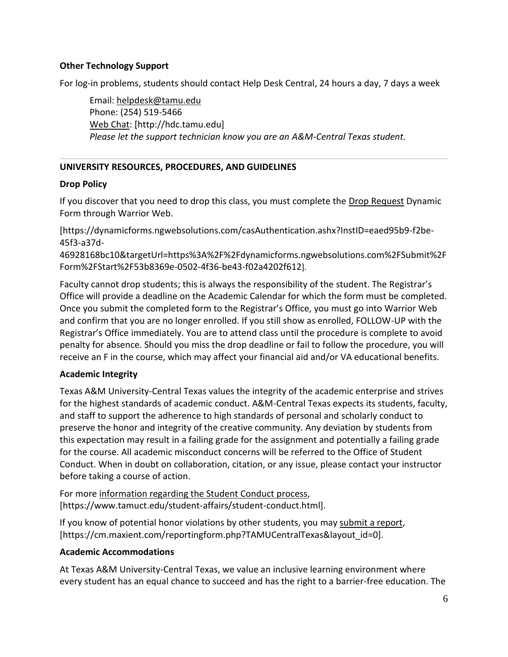### **Other Technology Support**

For log-in problems, students should contact Help Desk Central, 24 hours a day, 7 days a week

Email: [helpdesk@tamu.edu](mailto:helpdesk@tamu.edu) Phone: (254) 519-5466 [Web Chat:](http://hdc.tamu.edu/) [http://hdc.tamu.edu] *Please let the support technician know you are an A&M-Central Texas student.*

## **UNIVERSITY RESOURCES, PROCEDURES, AND GUIDELINES**

### **Drop Policy**

If you discover that you need to drop this class, you must complete the [Drop Request](https://dynamicforms.ngwebsolutions.com/casAuthentication.ashx?InstID=eaed95b9-f2be-45f3-a37d-46928168bc10&targetUrl=https%3A%2F%2Fdynamicforms.ngwebsolutions.com%2FSubmit%2FForm%2FStart%2F53b8369e-0502-4f36-be43-f02a4202f612) Dynamic Form through Warrior Web.

[https://dynamicforms.ngwebsolutions.com/casAuthentication.ashx?InstID=eaed95b9-f2be-45f3-a37d-

46928168bc10&targetUrl=https%3A%2F%2Fdynamicforms.ngwebsolutions.com%2FSubmit%2F Form%2FStart%2F53b8369e-0502-4f36-be43-f02a4202f612].

Faculty cannot drop students; this is always the responsibility of the student. The Registrar's Office will provide a deadline on the Academic Calendar for which the form must be completed. Once you submit the completed form to the Registrar's Office, you must go into Warrior Web and confirm that you are no longer enrolled. If you still show as enrolled, FOLLOW-UP with the Registrar's Office immediately. You are to attend class until the procedure is complete to avoid penalty for absence. Should you miss the drop deadline or fail to follow the procedure, you will receive an F in the course, which may affect your financial aid and/or VA educational benefits.

## **Academic Integrity**

Texas A&M University-Central Texas values the integrity of the academic enterprise and strives for the highest standards of academic conduct. A&M-Central Texas expects its students, faculty, and staff to support the adherence to high standards of personal and scholarly conduct to preserve the honor and integrity of the creative community. Any deviation by students from this expectation may result in a failing grade for the assignment and potentially a failing grade for the course. All academic misconduct concerns will be referred to the Office of Student Conduct. When in doubt on collaboration, citation, or any issue, please contact your instructor before taking a course of action.

For more [information](https://nam04.safelinks.protection.outlook.com/?url=https%3A%2F%2Fwww.tamuct.edu%2Fstudent-affairs%2Fstudent-conduct.html&data=04%7C01%7Clisa.bunkowski%40tamuct.edu%7Ccfb6e486f24745f53e1a08d910055cb2%7C9eed4e3000f744849ff193ad8005acec%7C0%7C0%7C637558437485252160%7CUnknown%7CTWFpbGZsb3d8eyJWIjoiMC4wLjAwMDAiLCJQIjoiV2luMzIiLCJBTiI6Ik1haWwiLCJXVCI6Mn0%3D%7C1000&sdata=yjftDEVHvLX%2FhM%2FcFU0B99krV1RgEWR%2BJ%2BhvtoR6TYk%3D&reserved=0) regarding the Student Conduct process, [https://www.tamuct.edu/student-affairs/student-conduct.html].

If you know of potential honor violations by other students, you may [submit](https://nam04.safelinks.protection.outlook.com/?url=https%3A%2F%2Fcm.maxient.com%2Freportingform.php%3FTAMUCentralTexas%26layout_id%3D0&data=04%7C01%7Clisa.bunkowski%40tamuct.edu%7Ccfb6e486f24745f53e1a08d910055cb2%7C9eed4e3000f744849ff193ad8005acec%7C0%7C0%7C637558437485262157%7CUnknown%7CTWFpbGZsb3d8eyJWIjoiMC4wLjAwMDAiLCJQIjoiV2luMzIiLCJBTiI6Ik1haWwiLCJXVCI6Mn0%3D%7C1000&sdata=CXGkOa6uPDPX1IMZ87z3aZDq2n91xfHKu4MMS43Ejjk%3D&reserved=0) a report, [https://cm.maxient.com/reportingform.php?TAMUCentralTexas&layout\_id=0].

## **Academic Accommodations**

At Texas A&M University-Central Texas, we value an inclusive learning environment where every student has an equal chance to succeed and has the right to a barrier-free education. The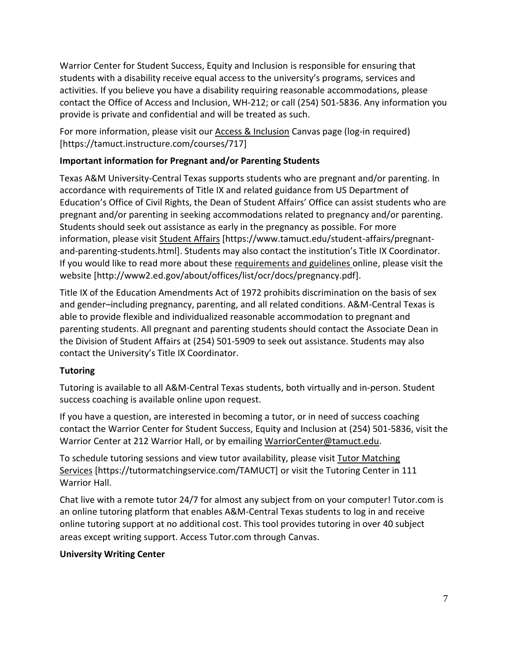Warrior Center for Student Success, Equity and Inclusion is responsible for ensuring that students with a disability receive equal access to the university's programs, services and activities. If you believe you have a disability requiring reasonable accommodations, please contact the Office of Access and Inclusion, WH-212; or call (254) 501-5836. Any information you provide is private and confidential and will be treated as such.

For more information, please visit our **Access & Inclusion Canvas page (log-in required)** [https://tamuct.instructure.com/courses/717]

# **Important information for Pregnant and/or Parenting Students**

Texas A&M University-Central Texas supports students who are pregnant and/or parenting. In accordance with requirements of Title IX and related guidance from US Department of Education's Office of Civil Rights, the Dean of Student Affairs' Office can assist students who are pregnant and/or parenting in seeking accommodations related to pregnancy and/or parenting. Students should seek out assistance as early in the pregnancy as possible. For more information, please visit [Student Affairs](https://www.tamuct.edu/student-affairs/pregnant-and-parenting-students.html) [https://www.tamuct.edu/student-affairs/pregnantand-parenting-students.html]. Students may also contact the institution's Title IX Coordinator. If you would like to read more about these [requirements and guidelines](http://www2.ed.gov/about/offices/list/ocr/docs/pregnancy.pdf) online, please visit the website [http://www2.ed.gov/about/offices/list/ocr/docs/pregnancy.pdf].

Title IX of the Education Amendments Act of 1972 prohibits discrimination on the basis of sex and gender–including pregnancy, parenting, and all related conditions. A&M-Central Texas is able to provide flexible and individualized reasonable accommodation to pregnant and parenting students. All pregnant and parenting students should contact the Associate Dean in the Division of Student Affairs at (254) 501-5909 to seek out assistance. Students may also contact the University's Title IX Coordinator.

## **Tutoring**

Tutoring is available to all A&M-Central Texas students, both virtually and in-person. Student success coaching is available online upon request.

If you have a question, are interested in becoming a tutor, or in need of success coaching contact the Warrior Center for Student Success, Equity and Inclusion at (254) 501-5836, visit the Warrior Center at 212 Warrior Hall, or by emailing [WarriorCenter@tamuct.edu.](mailto:WarriorCenter@tamuct.edu)

To schedule tutoring sessions and view tutor availability, please visit Tutor [Matching](https://tutormatchingservice.com/TAMUCT) [Services](https://tutormatchingservice.com/TAMUCT) [https://tutormatchingservice.com/TAMUCT] or visit the Tutoring Center in 111 Warrior Hall.

Chat live with a remote tutor 24/7 for almost any subject from on your computer! Tutor.com is an online tutoring platform that enables A&M-Central Texas students to log in and receive online tutoring support at no additional cost. This tool provides tutoring in over 40 subject areas except writing support. Access Tutor.com through Canvas.

## **University Writing Center**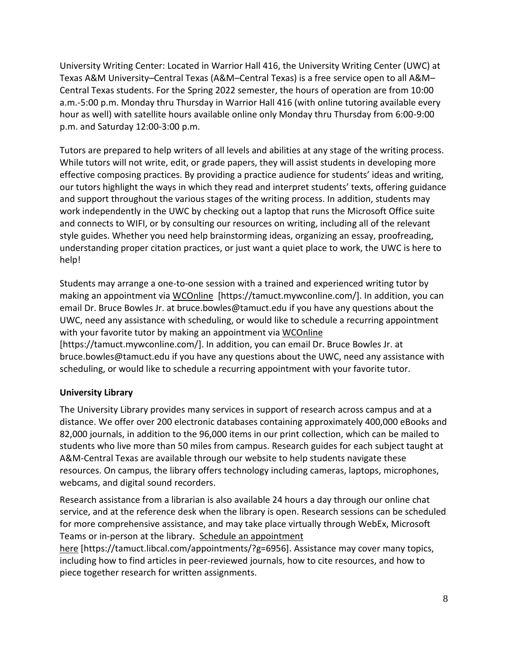University Writing Center: Located in Warrior Hall 416, the University Writing Center (UWC) at Texas A&M University–Central Texas (A&M–Central Texas) is a free service open to all A&M– Central Texas students. For the Spring 2022 semester, the hours of operation are from 10:00 a.m.-5:00 p.m. Monday thru Thursday in Warrior Hall 416 (with online tutoring available every hour as well) with satellite hours available online only Monday thru Thursday from 6:00-9:00 p.m. and Saturday 12:00-3:00 p.m.

Tutors are prepared to help writers of all levels and abilities at any stage of the writing process. While tutors will not write, edit, or grade papers, they will assist students in developing more effective composing practices. By providing a practice audience for students' ideas and writing, our tutors highlight the ways in which they read and interpret students' texts, offering guidance and support throughout the various stages of the writing process. In addition, students may work independently in the UWC by checking out a laptop that runs the Microsoft Office suite and connects to WIFI, or by consulting our resources on writing, including all of the relevant style guides. Whether you need help brainstorming ideas, organizing an essay, proofreading, understanding proper citation practices, or just want a quiet place to work, the UWC is here to help!

Students may arrange a one-to-one session with a trained and experienced writing tutor by making an appointment via [WCOnline](https://tamuct.mywconline.com/) [https://tamuct.mywconline.com/]. In addition, you can email Dr. Bruce Bowles Jr. at bruce.bowles@tamuct.edu if you have any questions about the UWC, need any assistance with scheduling, or would like to schedule a recurring appointment with your favorite tutor by making an appointment via [WCOnline](https://tamuct.mywconline.com/) [https://tamuct.mywconline.com/]. In addition, you can email Dr. Bruce Bowles Jr. at bruce.bowles@tamuct.edu if you have any questions about the UWC, need any assistance with scheduling, or would like to schedule a recurring appointment with your favorite tutor.

## **University Library**

The University Library provides many services in support of research across campus and at a distance. We offer over 200 electronic databases containing approximately 400,000 eBooks and 82,000 journals, in addition to the 96,000 items in our print collection, which can be mailed to students who live more than 50 miles from campus. Research guides for each subject taught at A&M-Central Texas are available through our website to help students navigate these resources. On campus, the library offers technology including cameras, laptops, microphones, webcams, and digital sound recorders.

Research assistance from a librarian is also available 24 hours a day through our online chat service, and at the reference desk when the library is open. Research sessions can be scheduled for more comprehensive assistance, and may take place virtually through WebEx, Microsoft Teams or in-person at the library. Schedule an [appointment](https://nam04.safelinks.protection.outlook.com/?url=https%3A%2F%2Ftamuct.libcal.com%2Fappointments%2F%3Fg%3D6956&data=04%7C01%7Clisa.bunkowski%40tamuct.edu%7Cde2c07d9f5804f09518008d9ab7ba6ff%7C9eed4e3000f744849ff193ad8005acec%7C0%7C0%7C637729369835011558%7CUnknown%7CTWFpbGZsb3d8eyJWIjoiMC4wLjAwMDAiLCJQIjoiV2luMzIiLCJBTiI6Ik1haWwiLCJXVCI6Mn0%3D%7C3000&sdata=KhtjgRSAw9aq%2FoBsB6wyu8b7PSuGN5EGPypzr3Ty2No%3D&reserved=0)

[here](https://nam04.safelinks.protection.outlook.com/?url=https%3A%2F%2Ftamuct.libcal.com%2Fappointments%2F%3Fg%3D6956&data=04%7C01%7Clisa.bunkowski%40tamuct.edu%7Cde2c07d9f5804f09518008d9ab7ba6ff%7C9eed4e3000f744849ff193ad8005acec%7C0%7C0%7C637729369835011558%7CUnknown%7CTWFpbGZsb3d8eyJWIjoiMC4wLjAwMDAiLCJQIjoiV2luMzIiLCJBTiI6Ik1haWwiLCJXVCI6Mn0%3D%7C3000&sdata=KhtjgRSAw9aq%2FoBsB6wyu8b7PSuGN5EGPypzr3Ty2No%3D&reserved=0) [https://tamuct.libcal.com/appointments/?g=6956]. Assistance may cover many topics, including how to find articles in peer-reviewed journals, how to cite resources, and how to piece together research for written assignments.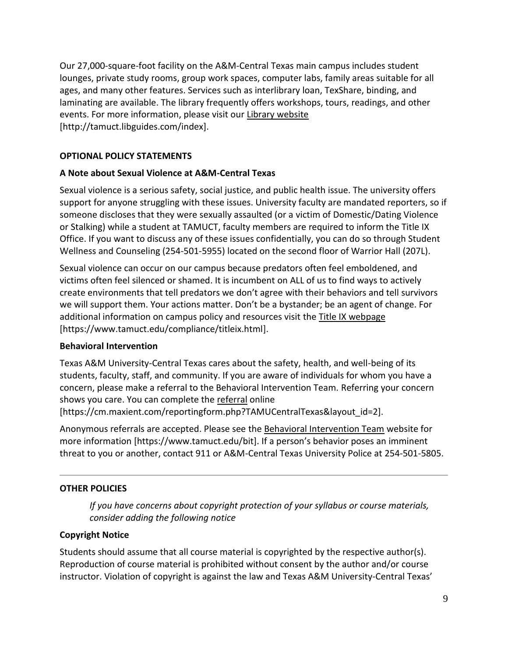Our 27,000-square-foot facility on the A&M-Central Texas main campus includes student lounges, private study rooms, group work spaces, computer labs, family areas suitable for all ages, and many other features. Services such as interlibrary loan, TexShare, binding, and laminating are available. The library frequently offers workshops, tours, readings, and other events. For more information, please visit our Library [website](https://nam04.safelinks.protection.outlook.com/?url=https%3A%2F%2Ftamuct.libguides.com%2Findex&data=04%7C01%7Clisa.bunkowski%40tamuct.edu%7C7d8489e8839a4915335f08d916f067f2%7C9eed4e3000f744849ff193ad8005acec%7C0%7C0%7C637566044056484222%7CUnknown%7CTWFpbGZsb3d8eyJWIjoiMC4wLjAwMDAiLCJQIjoiV2luMzIiLCJBTiI6Ik1haWwiLCJXVCI6Mn0%3D%7C1000&sdata=2R755V6rcIyedGrd4Os5rkgn1PvhHKU3kUV1vBKiHFo%3D&reserved=0) [http://tamuct.libguides.com/index].

## **OPTIONAL POLICY STATEMENTS**

## **A Note about Sexual Violence at A&M-Central Texas**

Sexual violence is a serious safety, social justice, and public health issue. The university offers support for anyone struggling with these issues. University faculty are mandated reporters, so if someone discloses that they were sexually assaulted (or a victim of Domestic/Dating Violence or Stalking) while a student at TAMUCT, faculty members are required to inform the Title IX Office. If you want to discuss any of these issues confidentially, you can do so through Student Wellness and Counseling (254-501-5955) located on the second floor of Warrior Hall (207L).

Sexual violence can occur on our campus because predators often feel emboldened, and victims often feel silenced or shamed. It is incumbent on ALL of us to find ways to actively create environments that tell predators we don't agree with their behaviors and tell survivors we will support them. Your actions matter. Don't be a bystander; be an agent of change. For additional information on campus policy and resources visit the [Title IX webpage](https://www.tamuct.edu/compliance/titleix.html) [\[https://www.tamuct.edu/compliance/titleix.html\]](https://www.tamuct.edu/compliance/titleix.html).

## **Behavioral Intervention**

Texas A&M University-Central Texas cares about the safety, health, and well-being of its students, faculty, staff, and community. If you are aware of individuals for whom you have a concern, please make a referral to the Behavioral Intervention Team. Referring your concern shows you care. You can complete the [referral](https://cm.maxient.com/reportingform.php?TAMUCentralTexas&layout_id=2) online [https://cm.maxient.com/reportingform.php?TAMUCentralTexas&layout\_id=2].

Anonymous referrals are accepted. Please see the [Behavioral Intervention Team](https://www.tamuct.edu/bit) website for more information [https://www.tamuct.edu/bit]. If a person's behavior poses an imminent threat to you or another, contact 911 or A&M-Central Texas University Police at 254-501-5805.

## **OTHER POLICIES**

*If you have concerns about copyright protection of your syllabus or course materials, consider adding the following notice*

## **Copyright Notice**

Students should assume that all course material is copyrighted by the respective author(s). Reproduction of course material is prohibited without consent by the author and/or course instructor. Violation of copyright is against the law and Texas A&M University-Central Texas'